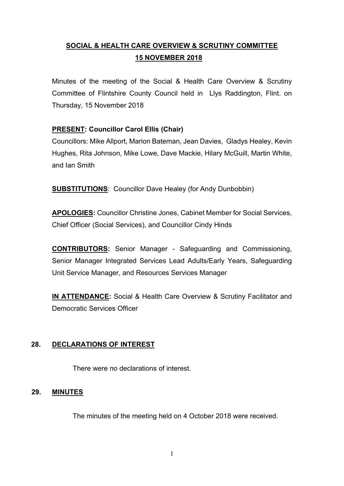# **SOCIAL & HEALTH CARE OVERVIEW & SCRUTINY COMMITTEE 15 NOVEMBER 2018**

Minutes of the meeting of the Social & Health Care Overview & Scrutiny Committee of Flintshire County Council held in Llys Raddington, Flint. on Thursday, 15 November 2018

# **PRESENT: Councillor Carol Ellis (Chair)**

Councillors: Mike Allport, Marion Bateman, Jean Davies, Gladys Healey, Kevin Hughes, Rita Johnson, Mike Lowe, Dave Mackie, Hilary McGuill, Martin White, and Ian Smith

**SUBSTITUTIONS**: Councillor Dave Healey (for Andy Dunbobbin)

**APOLOGIES:** Councillor Christine Jones, Cabinet Member for Social Services, Chief Officer (Social Services), and Councillor Cindy Hinds

**CONTRIBUTORS:** Senior Manager - Safeguarding and Commissioning, Senior Manager Integrated Services Lead Adults/Early Years, Safeguarding Unit Service Manager, and Resources Services Manager

**IN ATTENDANCE:** Social & Health Care Overview & Scrutiny Facilitator and Democratic Services Officer

## **28. DECLARATIONS OF INTEREST**

There were no declarations of interest.

## **29. MINUTES**

The minutes of the meeting held on 4 October 2018 were received.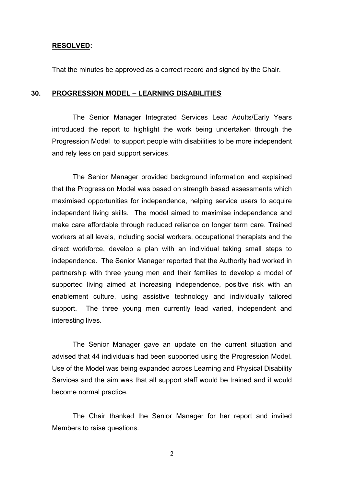#### **RESOLVED:**

That the minutes be approved as a correct record and signed by the Chair.

#### **30. PROGRESSION MODEL – LEARNING DISABILITIES**

The Senior Manager Integrated Services Lead Adults/Early Years introduced the report to highlight the work being undertaken through the Progression Model to support people with disabilities to be more independent and rely less on paid support services.

The Senior Manager provided background information and explained that the Progression Model was based on strength based assessments which maximised opportunities for independence, helping service users to acquire independent living skills. The model aimed to maximise independence and make care affordable through reduced reliance on longer term care. Trained workers at all levels, including social workers, occupational therapists and the direct workforce, develop a plan with an individual taking small steps to independence. The Senior Manager reported that the Authority had worked in partnership with three young men and their families to develop a model of supported living aimed at increasing independence, positive risk with an enablement culture, using assistive technology and individually tailored support. The three young men currently lead varied, independent and interesting lives.

The Senior Manager gave an update on the current situation and advised that 44 individuals had been supported using the Progression Model. Use of the Model was being expanded across Learning and Physical Disability Services and the aim was that all support staff would be trained and it would become normal practice.

The Chair thanked the Senior Manager for her report and invited Members to raise questions.

2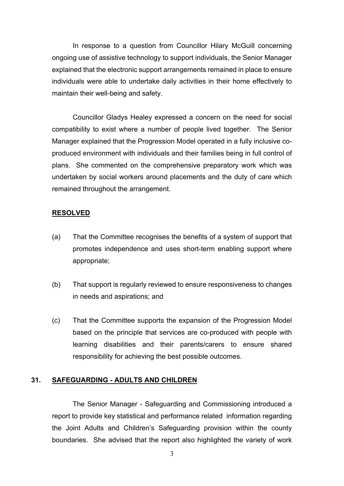In response to a question from Councillor Hilary McGuill concerning ongoing use of assistive technology to support individuals, the Senior Manager explained that the electronic support arrangements remained in place to ensure individuals were able to undertake daily activities in their home effectively to maintain their well-being and safety.

Councillor Gladys Healey expressed a concern on the need for social compatibility to exist where a number of people lived together. The Senior Manager explained that the Progression Model operated in a fully inclusive coproduced environment with individuals and their families being in full control of plans. She commented on the comprehensive preparatory work which was undertaken by social workers around placements and the duty of care which remained throughout the arrangement.

#### **RESOLVED**

- (a) That the Committee recognises the benefits of a system of support that promotes independence and uses short-term enabling support where appropriate;
- (b) That support is regularly reviewed to ensure responsiveness to changes in needs and aspirations; and
- (c) That the Committee supports the expansion of the Progression Model based on the principle that services are co-produced with people with learning disabilities and their parents/carers to ensure shared responsibility for achieving the best possible outcomes.

#### **31. SAFEGUARDING - ADULTS AND CHILDREN**

The Senior Manager - Safeguarding and Commissioning introduced a report to provide key statistical and performance related information regarding the Joint Adults and Children's Safeguarding provision within the county boundaries. She advised that the report also highlighted the variety of work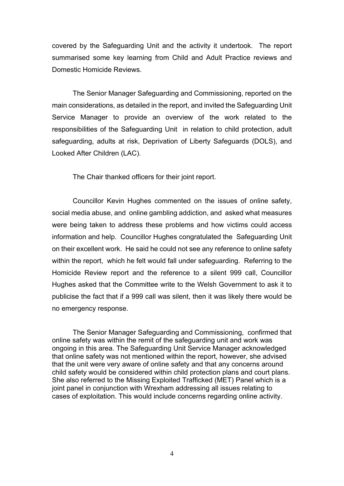covered by the Safeguarding Unit and the activity it undertook. The report summarised some key learning from Child and Adult Practice reviews and Domestic Homicide Reviews.

The Senior Manager Safeguarding and Commissioning, reported on the main considerations, as detailed in the report, and invited the Safeguarding Unit Service Manager to provide an overview of the work related to the responsibilities of the Safeguarding Unit in relation to child protection, adult safeguarding, adults at risk, Deprivation of Liberty Safeguards (DOLS), and Looked After Children (LAC).

The Chair thanked officers for their joint report.

Councillor Kevin Hughes commented on the issues of online safety, social media abuse, and online gambling addiction, and asked what measures were being taken to address these problems and how victims could access information and help. Councillor Hughes congratulated the Safeguarding Unit on their excellent work. He said he could not see any reference to online safety within the report, which he felt would fall under safeguarding. Referring to the Homicide Review report and the reference to a silent 999 call, Councillor Hughes asked that the Committee write to the Welsh Government to ask it to publicise the fact that if a 999 call was silent, then it was likely there would be no emergency response.

The Senior Manager Safeguarding and Commissioning, confirmed that online safety was within the remit of the safeguarding unit and work was ongoing in this area. The Safeguarding Unit Service Manager acknowledged that online safety was not mentioned within the report, however, she advised that the unit were very aware of online safety and that any concerns around child safety would be considered within child protection plans and court plans. She also referred to the Missing Exploited Trafficked (MET) Panel which is a joint panel in conjunction with Wrexham addressing all issues relating to cases of exploitation. This would include concerns regarding online activity.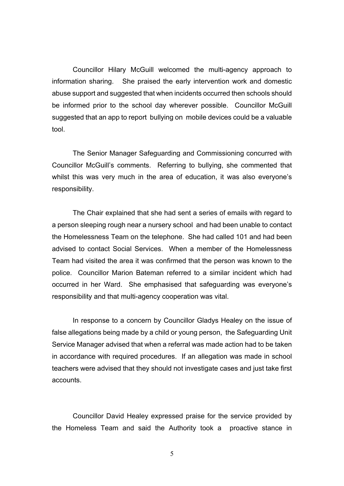Councillor Hilary McGuill welcomed the multi-agency approach to information sharing. She praised the early intervention work and domestic abuse support and suggested that when incidents occurred then schools should be informed prior to the school day wherever possible. Councillor McGuill suggested that an app to report bullying on mobile devices could be a valuable tool.

The Senior Manager Safeguarding and Commissioning concurred with Councillor McGuill's comments. Referring to bullying, she commented that whilst this was very much in the area of education, it was also everyone's responsibility.

The Chair explained that she had sent a series of emails with regard to a person sleeping rough near a nursery school and had been unable to contact the Homelessness Team on the telephone. She had called 101 and had been advised to contact Social Services. When a member of the Homelessness Team had visited the area it was confirmed that the person was known to the police. Councillor Marion Bateman referred to a similar incident which had occurred in her Ward. She emphasised that safeguarding was everyone's responsibility and that multi-agency cooperation was vital.

In response to a concern by Councillor Gladys Healey on the issue of false allegations being made by a child or young person, the Safeguarding Unit Service Manager advised that when a referral was made action had to be taken in accordance with required procedures. If an allegation was made in school teachers were advised that they should not investigate cases and just take first accounts.

Councillor David Healey expressed praise for the service provided by the Homeless Team and said the Authority took a proactive stance in

5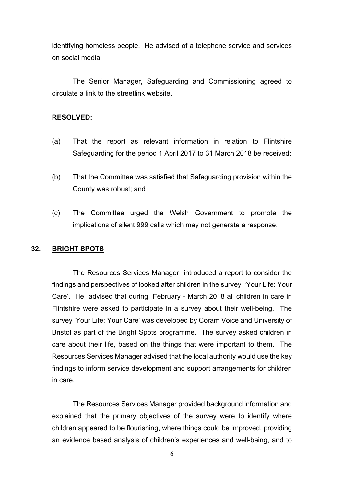identifying homeless people. He advised of a telephone service and services on social media.

The Senior Manager, Safeguarding and Commissioning agreed to circulate a link to the streetlink website.

#### **RESOLVED:**

- (a) That the report as relevant information in relation to Flintshire Safeguarding for the period 1 April 2017 to 31 March 2018 be received;
- (b) That the Committee was satisfied that Safeguarding provision within the County was robust; and
- (c) The Committee urged the Welsh Government to promote the implications of silent 999 calls which may not generate a response.

## **32. BRIGHT SPOTS**

The Resources Services Manager introduced a report to consider the findings and perspectives of looked after children in the survey 'Your Life: Your Care'. He advised that during February - March 2018 all children in care in Flintshire were asked to participate in a survey about their well-being. The survey 'Your Life: Your Care' was developed by Coram Voice and University of Bristol as part of the Bright Spots programme. The survey asked children in care about their life, based on the things that were important to them. The Resources Services Manager advised that the local authority would use the key findings to inform service development and support arrangements for children in care.

The Resources Services Manager provided background information and explained that the primary objectives of the survey were to identify where children appeared to be flourishing, where things could be improved, providing an evidence based analysis of children's experiences and well-being, and to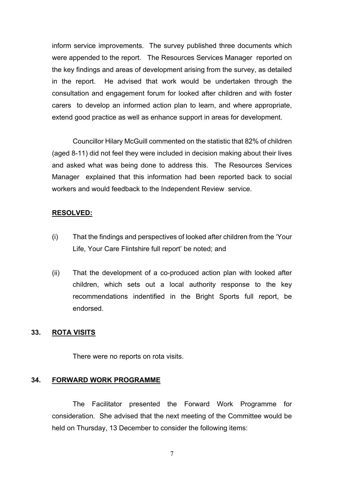inform service improvements. The survey published three documents which were appended to the report. The Resources Services Manager reported on the key findings and areas of development arising from the survey, as detailed in the report. He advised that work would be undertaken through the consultation and engagement forum for looked after children and with foster carers to develop an informed action plan to learn, and where appropriate, extend good practice as well as enhance support in areas for development.

Councillor Hilary McGuill commented on the statistic that 82% of children (aged 8-11) did not feel they were included in decision making about their lives and asked what was being done to address this. The Resources Services Manager explained that this information had been reported back to social workers and would feedback to the Independent Review service.

#### **RESOLVED:**

- (i) That the findings and perspectives of looked after children from the 'Your Life, Your Care Flintshire full report' be noted; and
- (ii) That the development of a co-produced action plan with looked after children, which sets out a local authority response to the key recommendations indentified in the Bright Sports full report, be endorsed.

#### **33. ROTA VISITS**

There were no reports on rota visits.

#### **34. FORWARD WORK PROGRAMME**

The Facilitator presented the Forward Work Programme for consideration. She advised that the next meeting of the Committee would be held on Thursday, 13 December to consider the following items:

7